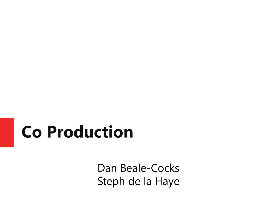#### **Co Production**

Dan Beale-Cocks Steph de la Haye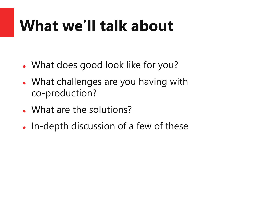#### **What we'll talk about**

- ⚫ What does good look like for you?
- ⚫ What challenges are you having with co-production?
- What are the solutions?
- ⚫ In-depth discussion of a few of these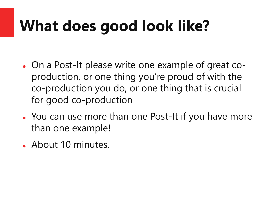## **What does good look like?**

- ⚫ On a Post-It please write one example of great coproduction, or one thing you're proud of with the co-production you do, or one thing that is crucial for good co-production
- ⚫ You can use more than one Post-It if you have more than one example!
- About 10 minutes.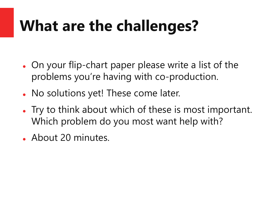#### **What are the challenges?**

- On your flip-chart paper please write a list of the problems you're having with co-production.
- No solutions yet! These come later.
- ⚫ Try to think about which of these is most important. Which problem do you most want help with?
- ⚫ About 20 minutes.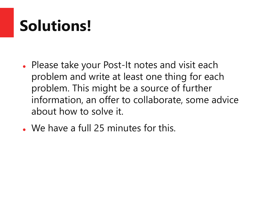### **Solutions!**

- ⚫ Please take your Post-It notes and visit each problem and write at least one thing for each problem. This might be a source of further information, an offer to collaborate, some advice about how to solve it.
- ⚫ We have a full 25 minutes for this.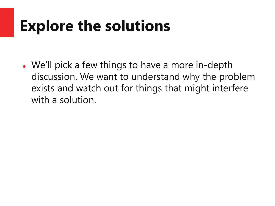#### **Explore the solutions**

⚫ We'll pick a few things to have a more in-depth discussion. We want to understand why the problem exists and watch out for things that might interfere with a solution.